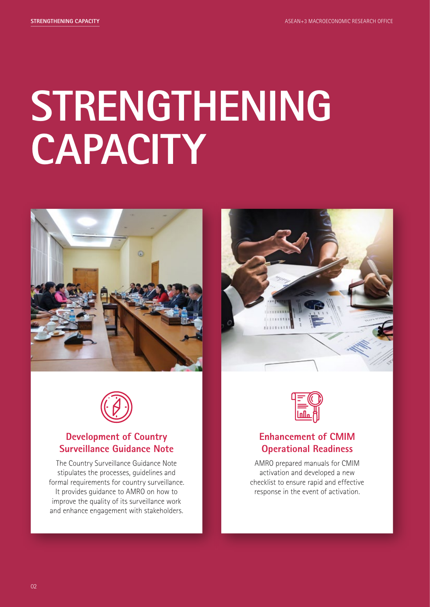## **STRENGTHENING CAPACITY**







### **Development of Country Surveillance Guidance Note**

The Country Surveillance Guidance Note stipulates the processes, guidelines and formal requirements for country surveillance. It provides guidance to AMRO on how to improve the quality of its surveillance work and enhance engagement with stakeholders.



### **Enhancement of CMIM Operational Readiness**

AMRO prepared manuals for CMIM activation and developed a new checklist to ensure rapid and effective response in the event of activation.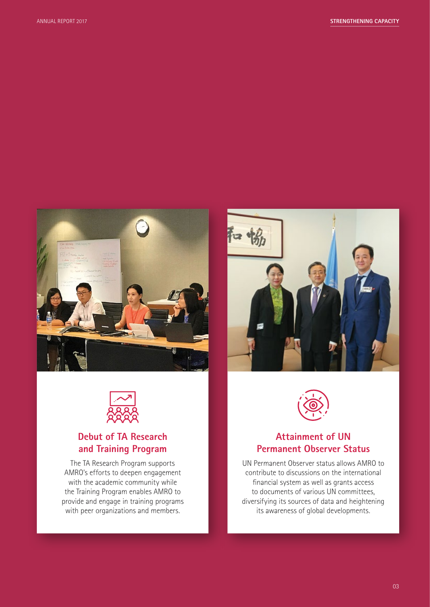





### **Debut of TA Research and Training Program**

The TA Research Program supports AMRO's efforts to deepen engagement with the academic community while the Training Program enables AMRO to provide and engage in training programs with peer organizations and members.



#### **Attainment of UN Permanent Observer Status**

UN Permanent Observer status allows AMRO to contribute to discussions on the international financial system as well as grants access to documents of various UN committees, diversifying its sources of data and heightening its awareness of global developments.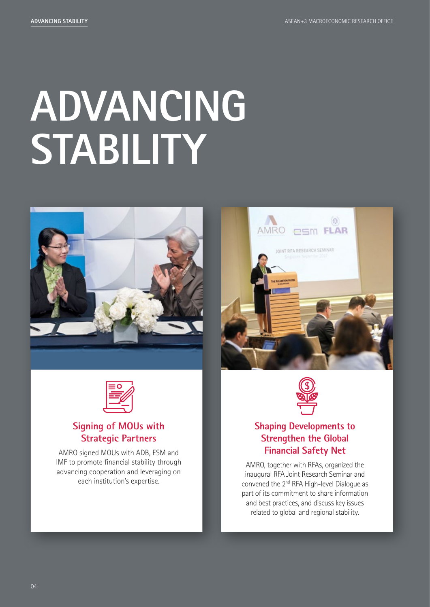# **ADVANCING STABILITY**





### **Signing of MOUs with Strategic Partners**

AMRO signed MOUs with ADB, ESM and IMF to promote financial stability through advancing cooperation and leveraging on each institution's expertise.





### **Shaping Developments to Strengthen the Global Financial Safety Net**

AMRO, together with RFAs, organized the inaugural RFA Joint Research Seminar and convened the 2<sup>nd</sup> RFA High-level Dialogue as part of its commitment to share information and best practices, and discuss key issues related to global and regional stability.